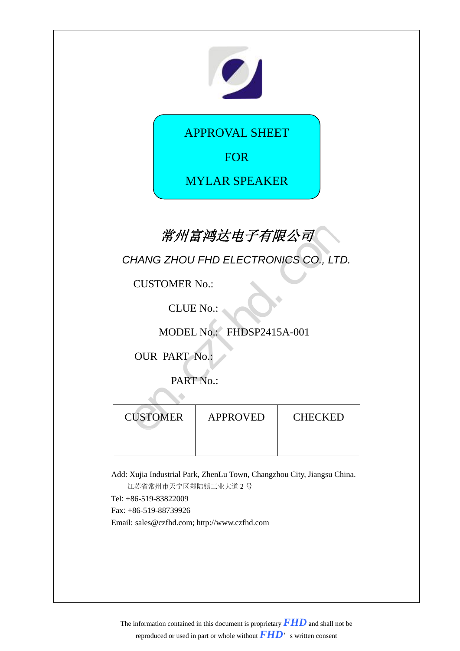

APPROVAL SHEET

FOR

MYLAR SPEAKER

## 常州富鸿达电子有限公司

| 常州富鸿达电子有限公司      |                                      |         |  |  |
|------------------|--------------------------------------|---------|--|--|
|                  | CHANG ZHOU FHD ELECTRONICS CO., LTD. |         |  |  |
|                  | <b>CUSTOMER No.:</b>                 |         |  |  |
| <b>CLUE No.:</b> |                                      |         |  |  |
|                  | MODEL No.: FHDSP2415A-001            |         |  |  |
|                  | <b>OUR PART No.:</b>                 |         |  |  |
| PART No.:        |                                      |         |  |  |
|                  |                                      |         |  |  |
| <b>CUSTOMER</b>  | <b>APPROVED</b>                      | CHECKED |  |  |
|                  |                                      |         |  |  |

Add: Xujia Industrial Park, ZhenLu Town, Changzhou City, Jiangsu China.

江苏省常州市天宁区郑陆镇工业大道 2 号

Tel: +86-519-83822009

Fax: +86-519-88739926

Email: sales@czfhd.com; http://www.czfhd.com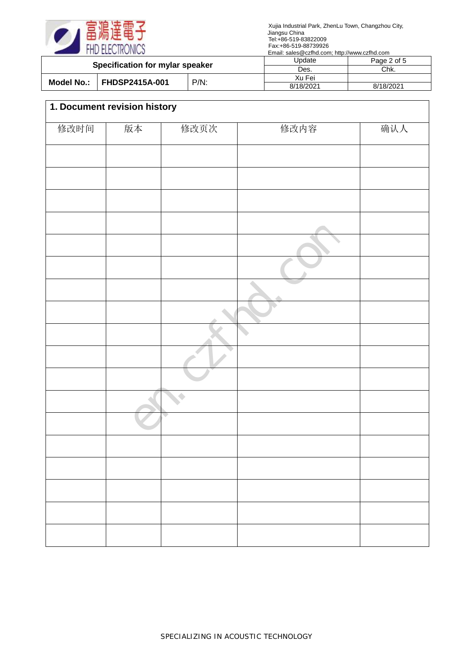

|                                     |  | $L$ $m$ $m$ . Sarco $L$ $m$ $n$ . Social $m$ , $m$ , $m$ , $m$ , $m$ , $m$ , $m$ |             |           |
|-------------------------------------|--|----------------------------------------------------------------------------------|-------------|-----------|
| Specification for mylar speaker     |  | Update                                                                           | Page 2 of 5 |           |
|                                     |  | Des.                                                                             | Chk.        |           |
| <b>FHDSP2415A-001</b><br>Model No.: |  | Xu Fei                                                                           |             |           |
|                                     |  | $P/N$ :                                                                          | 8/18/2021   | 8/18/2021 |

| 修改时间 | 版本 | 修改页次 | 修改内容 | 确认人 |
|------|----|------|------|-----|
|      |    |      |      |     |
|      |    |      |      |     |
|      |    |      |      |     |
|      |    |      |      |     |
|      |    |      |      |     |
|      |    |      |      |     |
|      |    |      |      |     |
|      |    |      |      |     |
|      |    |      |      |     |
|      |    |      |      |     |
|      |    |      |      |     |
|      |    |      |      |     |
|      |    |      |      |     |
|      |    |      |      |     |
|      |    |      |      |     |
|      |    |      |      |     |
|      |    |      |      |     |
|      |    |      |      |     |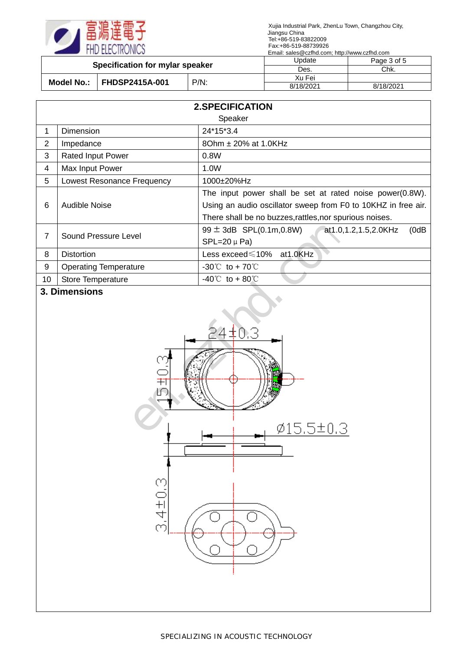

| Specification for mylar speaker |                       | Update  | Page 3 of 5 |           |
|---------------------------------|-----------------------|---------|-------------|-----------|
|                                 |                       | Des.    | Chk.        |           |
| Model No.:                      |                       | $P/N$ : | Xu Fei      |           |
|                                 | <b>FHDSP2415A-001</b> |         | 8/18/2021   | 8/18/2021 |

|    | <b>2.SPECIFICATION</b>       |                                                                                       |  |  |  |
|----|------------------------------|---------------------------------------------------------------------------------------|--|--|--|
|    | Speaker                      |                                                                                       |  |  |  |
| 1  | Dimension                    | 24*15*3.4                                                                             |  |  |  |
| 2  | Impedance                    | 80hm ± 20% at 1.0KHz                                                                  |  |  |  |
| 3  | <b>Rated Input Power</b>     | 0.8W                                                                                  |  |  |  |
| 4  | Max Input Power              | 1.0W                                                                                  |  |  |  |
| 5  | Lowest Resonance Frequency   | 1000±20%Hz                                                                            |  |  |  |
|    |                              | The input power shall be set at rated noise power(0.8W).                              |  |  |  |
| 6  | Audible Noise                | Using an audio oscillator sweep from F0 to 10KHZ in free air.                         |  |  |  |
|    |                              | There shall be no buzzes, rattles, nor spurious noises.                               |  |  |  |
| 7  | Sound Pressure Level         | $99 \pm 3$ dB SPL $(0.1 \text{m}, 0.8 \text{W})$<br>(0dB)<br>at 1.0, 1.2, 1.5, 2.0KHz |  |  |  |
|    |                              | $SPL=20 \mu Pa$                                                                       |  |  |  |
| 8  | <b>Distortion</b>            | Less exceed ≤10% at 1.0KHz                                                            |  |  |  |
| 9  | <b>Operating Temperature</b> | $-30^{\circ}$ to + 70 $^{\circ}$                                                      |  |  |  |
| 10 | <b>Store Temperature</b>     | $-40^{\circ}$ to + 80 °C                                                              |  |  |  |

## **3. Dimensions**

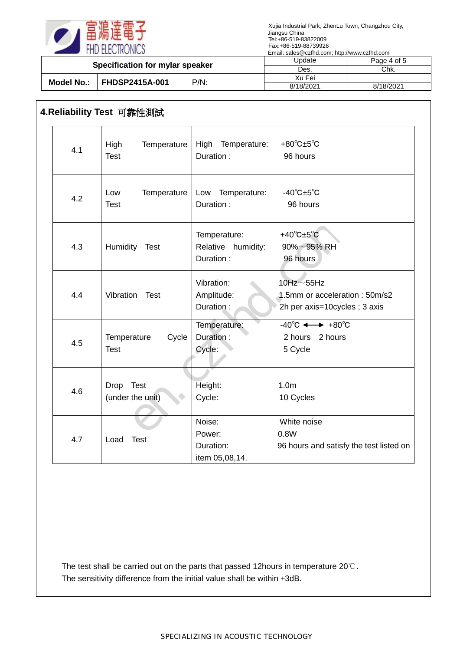

|                                     |                                 | Update  | Page 4 of 5 |           |
|-------------------------------------|---------------------------------|---------|-------------|-----------|
|                                     | Specification for mylar speaker |         | Des.        | Chk.      |
| <b>FHDSP2415A-001</b><br>Model No.: |                                 | Xu Fei  |             |           |
|                                     |                                 | $P/N$ : | 8/18/2021   | 8/18/2021 |

## **4.Reliability Test** 可靠性測試

| 4.1 | High<br>Temperature<br><b>Test</b>  | High Temperature:<br>Duration:                  | $+80^{\circ}$ C $\pm 5^{\circ}$ C<br>96 hours                                        |
|-----|-------------------------------------|-------------------------------------------------|--------------------------------------------------------------------------------------|
| 4.2 | Temperature<br>Low<br><b>Test</b>   | Low Temperature:<br>Duration:                   | $-40^{\circ}$ C $\pm 5^{\circ}$ C<br>96 hours                                        |
| 4.3 | Humidity Test                       | Temperature:<br>Relative humidity:<br>Duration: | +40 $^{\circ}$ C $\pm$ 5 $^{\circ}$ C<br>$90\% \sim 95\%$ RH<br>96 hours             |
| 4.4 | Vibration<br>Test                   | Vibration:<br>Amplitude:<br>Duration:           | $10$ Hz $\sim$ 55Hz<br>1.5mm or acceleration: 50m/s2<br>2h per axis=10cycles; 3 axis |
| 4.5 | Cycle<br>Temperature<br><b>Test</b> | Temperature:<br>Duration:<br>Cycle:             | $-40^{\circ}C \leftrightarrow +80^{\circ}C$<br>2 hours 2 hours<br>5 Cycle            |
| 4.6 | Drop Test<br>(under the unit)       | Height:<br>Cycle:                               | 1.0 <sub>m</sub><br>10 Cycles                                                        |
| 4.7 | Load<br><b>Test</b>                 | Noise:<br>Power:<br>Duration:<br>item 05,08,14. | White noise<br>0.8W<br>96 hours and satisfy the test listed on                       |

The test shall be carried out on the parts that passed 12hours in temperature 20℃. The sensitivity difference from the initial value shall be within  $\pm 3$ dB.